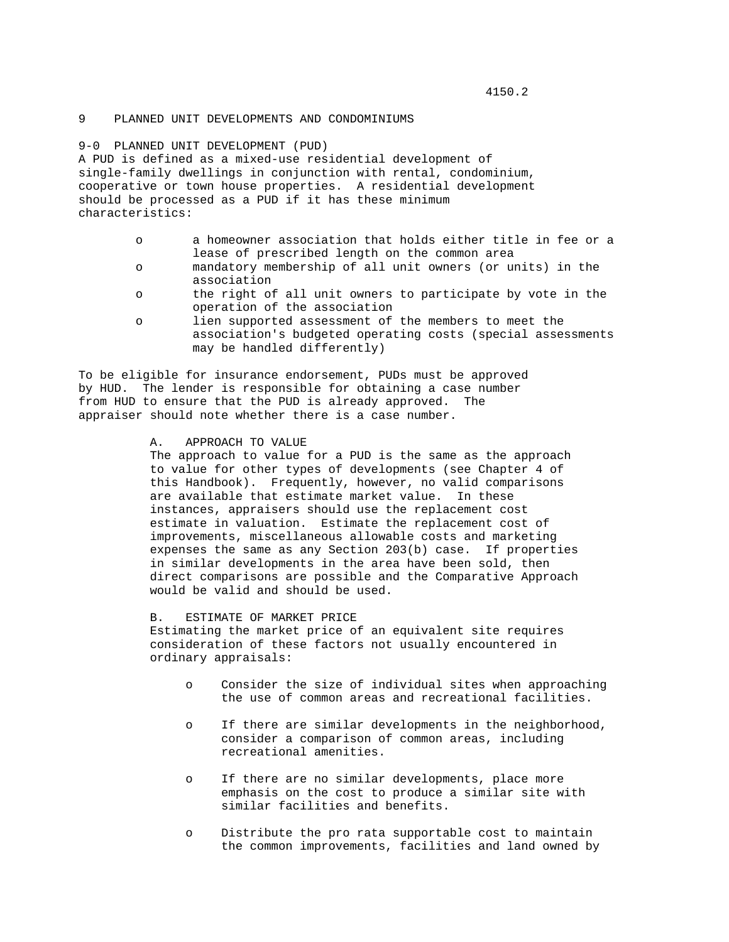## 9 PLANNED UNIT DEVELOPMENTS AND CONDOMINIUMS

#### 9-0 PLANNED UNIT DEVELOPMENT (PUD)

A PUD is defined as a mixed-use residential development of single-family dwellings in conjunction with rental, condominium, cooperative or town house properties. A residential development should be processed as a PUD if it has these minimum characteristics:

- o a homeowner association that holds either title in fee or a lease of prescribed length on the common area
- o mandatory membership of all unit owners (or units) in the association
- o the right of all unit owners to participate by vote in the operation of the association
- o lien supported assessment of the members to meet the association's budgeted operating costs (special assessments may be handled differently)

To be eligible for insurance endorsement, PUDs must be approved by HUD. The lender is responsible for obtaining a case number from HUD to ensure that the PUD is already approved. The appraiser should note whether there is a case number.

### A. APPROACH TO VALUE

 The approach to value for a PUD is the same as the approach to value for other types of developments (see Chapter 4 of this Handbook). Frequently, however, no valid comparisons are available that estimate market value. In these instances, appraisers should use the replacement cost estimate in valuation. Estimate the replacement cost of improvements, miscellaneous allowable costs and marketing expenses the same as any Section 203(b) case. If properties in similar developments in the area have been sold, then direct comparisons are possible and the Comparative Approach would be valid and should be used.

# B. ESTIMATE OF MARKET PRICE

 Estimating the market price of an equivalent site requires consideration of these factors not usually encountered in ordinary appraisals:

- o Consider the size of individual sites when approaching the use of common areas and recreational facilities.
- o If there are similar developments in the neighborhood, consider a comparison of common areas, including recreational amenities.
- o If there are no similar developments, place more emphasis on the cost to produce a similar site with similar facilities and benefits.
- o Distribute the pro rata supportable cost to maintain the common improvements, facilities and land owned by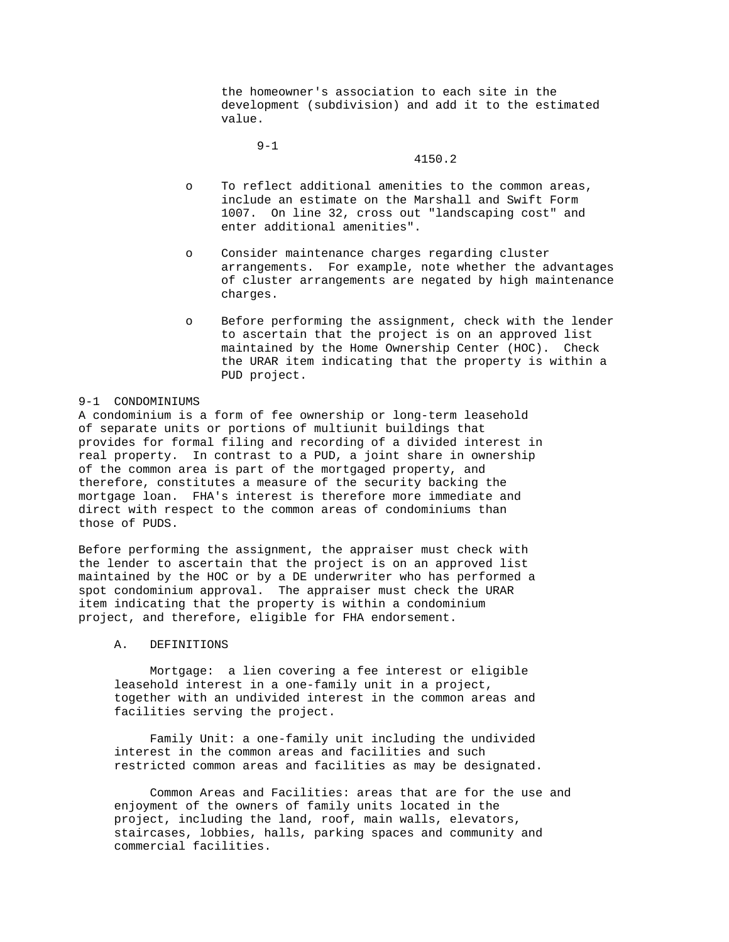the homeowner's association to each site in the development (subdivision) and add it to the estimated value.

```
 9-1
```

```
 4150.2
```
- o To reflect additional amenities to the common areas, include an estimate on the Marshall and Swift Form 1007. On line 32, cross out "landscaping cost" and enter additional amenities".
- o Consider maintenance charges regarding cluster arrangements. For example, note whether the advantages of cluster arrangements are negated by high maintenance charges.
- o Before performing the assignment, check with the lender to ascertain that the project is on an approved list maintained by the Home Ownership Center (HOC). Check the URAR item indicating that the property is within a PUD project.

### 9-1 CONDOMINIUMS

A condominium is a form of fee ownership or long-term leasehold of separate units or portions of multiunit buildings that provides for formal filing and recording of a divided interest in real property. In contrast to a PUD, a joint share in ownership of the common area is part of the mortgaged property, and therefore, constitutes a measure of the security backing the mortgage loan. FHA's interest is therefore more immediate and direct with respect to the common areas of condominiums than those of PUDS.

Before performing the assignment, the appraiser must check with the lender to ascertain that the project is on an approved list maintained by the HOC or by a DE underwriter who has performed a spot condominium approval. The appraiser must check the URAR item indicating that the property is within a condominium project, and therefore, eligible for FHA endorsement.

# A. DEFINITIONS

 Mortgage: a lien covering a fee interest or eligible leasehold interest in a one-family unit in a project, together with an undivided interest in the common areas and facilities serving the project.

 Family Unit: a one-family unit including the undivided interest in the common areas and facilities and such restricted common areas and facilities as may be designated.

 Common Areas and Facilities: areas that are for the use and enjoyment of the owners of family units located in the project, including the land, roof, main walls, elevators, staircases, lobbies, halls, parking spaces and community and commercial facilities.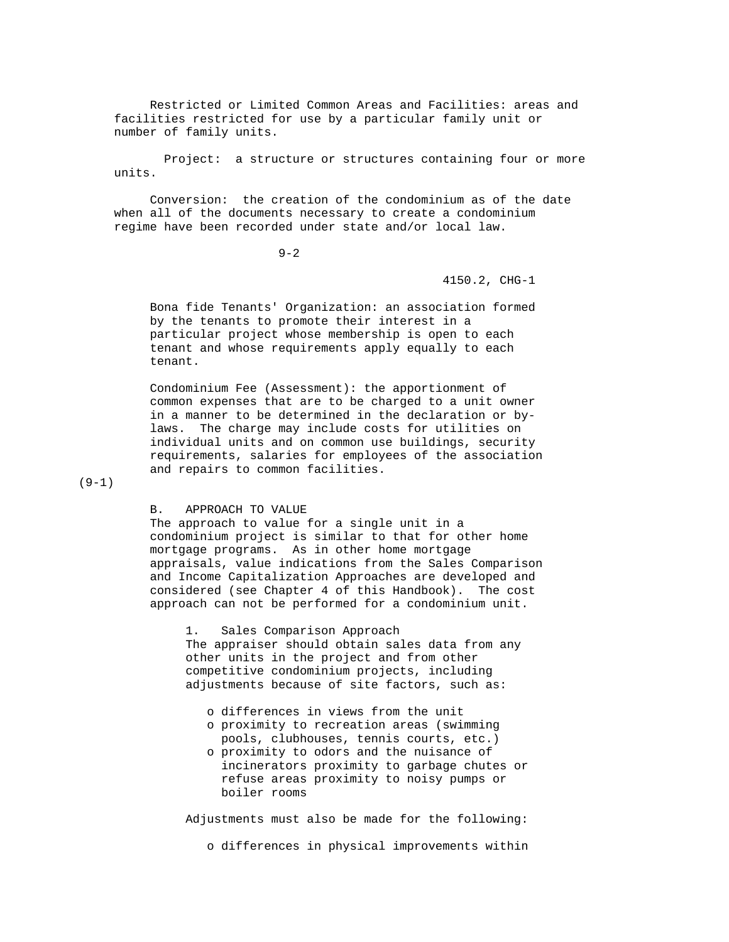Restricted or Limited Common Areas and Facilities: areas and facilities restricted for use by a particular family unit or number of family units.

 Project: a structure or structures containing four or more units.

 Conversion: the creation of the condominium as of the date when all of the documents necessary to create a condominium regime have been recorded under state and/or local law.

 $9 - 2$ 

4150.2, CHG-1

 Bona fide Tenants' Organization: an association formed by the tenants to promote their interest in a particular project whose membership is open to each tenant and whose requirements apply equally to each tenant.

 Condominium Fee (Assessment): the apportionment of common expenses that are to be charged to a unit owner in a manner to be determined in the declaration or by laws. The charge may include costs for utilities on individual units and on common use buildings, security requirements, salaries for employees of the association and repairs to common facilities.

# $(9-1)$

# B. APPROACH TO VALUE

 The approach to value for a single unit in a condominium project is similar to that for other home mortgage programs. As in other home mortgage appraisals, value indications from the Sales Comparison and Income Capitalization Approaches are developed and considered (see Chapter 4 of this Handbook). The cost approach can not be performed for a condominium unit.

 1. Sales Comparison Approach The appraiser should obtain sales data from any other units in the project and from other competitive condominium projects, including adjustments because of site factors, such as:

- o differences in views from the unit
- o proximity to recreation areas (swimming pools, clubhouses, tennis courts, etc.)
- o proximity to odors and the nuisance of incinerators proximity to garbage chutes or refuse areas proximity to noisy pumps or boiler rooms

Adjustments must also be made for the following:

o differences in physical improvements within